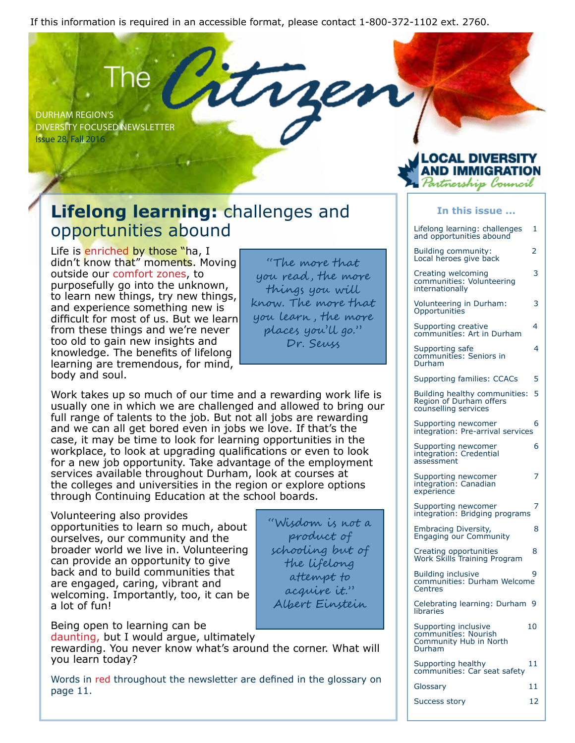If this information is required in an accessible format, please contact 1-800-372-1102 ext. 2760.

DURHAM REGION'S DIVERSITY FOCUSED NEWSLETTER Issue 28, Fall 2016

# **Lifelong learning:** challenges and opportunities abound

Life is enriched by those "ha, I didn't know that" moments. Moving outside our comfort zones, to purposefully go into the unknown, to learn new things, try new things, and experience something new is difficult for most of us. But we learn from these things and we're never too old to gain new insights and knowledge. The benefits of lifelong learning are tremendous, for mind, body and soul.

"The more that you read , the more things you will know. The more that you learn , the more places you'll go." Dr. Seuss

> "Wisdom is not a product of schooling but of the lifelong attempt to acquire it." Albert Einstein

Work takes up so much of our time and a rewarding work life is usually one in which we are challenged and allowed to bring our full range of talents to the job. But not all jobs are rewarding and we can all get bored even in jobs we love. If that's the case, it may be time to look for learning opportunities in the workplace, to look at upgrading qualifications or even to look for a new job opportunity. Take advantage of the employment services available throughout Durham, look at courses at the colleges and universities in the region or explore options through Continuing Education at the school boards.

Volunteering also provides opportunities to learn so much, about ourselves, our community and the broader world we live in. Volunteering can provide an opportunity to give back and to build communities that are engaged, caring, vibrant and welcoming. Importantly, too, it can be a lot of fun!

Being open to learning can be

daunting, but I would argue, ultimately

rewarding. You never know what's around the corner. What will you learn today?

Words in red throughout the newsletter are defined in the glossary on page 11.

| In this issue                                                                    |    |
|----------------------------------------------------------------------------------|----|
| Lifelong learning: challenges<br>and opportunities abound                        | 1  |
| Building community:<br>Local heroes give back                                    | 2  |
| Creating welcoming<br>communities: Volunteering<br>internationally               | 3  |
| Volunteering in Durham:<br>Opportunities                                         | 3  |
| Supporting creative<br>communities: Art in Durham                                | 4  |
| Supporting safe<br>communities: Seniors in<br>Durham                             | 4  |
| Supporting families: CCACs                                                       | 5  |
| Building healthy communities:<br>Region of Durham offers<br>counselling services | 5  |
| Supporting newcomer<br>integration: Pre-arrival services                         | 6  |
| Supporting newcomer<br>integration: Credential<br>assessment                     | 6  |
| Supporting newcomer<br>integration: Canadian<br>experience                       | 7  |
| Supporting newcomer<br>integration: Bridging programs                            | 7  |
| Embracing Diversity,<br><b>Engaging our Community</b>                            | 8  |
| Creating opportunities<br>Work Skills Training Program                           | 8  |
| <b>Building inclusive</b><br>communities: Durham Welcome<br>Centres              | 9  |
| Celebrating learning: Durham 9<br>libraries                                      |    |
| Supporting inclusive<br>communities: Nourish<br>Community Hub in North<br>Durham | 10 |
| Supporting healthy<br>communities: Car seat safety                               | 11 |
| Glossary                                                                         | 11 |
| <b>Success story</b>                                                             | 12 |

OCAL DIVERSI.

rtnership Council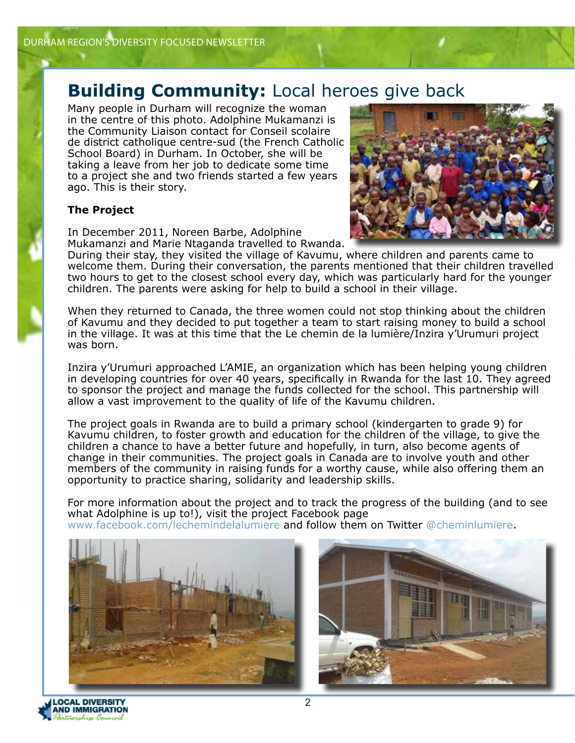#### **Building Community:** Local heroes give back

Many people in Durham will recognize the woman in the centre of this photo. Adolphine Mukamanzi is the Community Liaison contact for Conseil scolaire de district catholique centre-sud (the French Catholic School Board) in Durham. In October, she will be taking a leave from her job to dedicate some time to a project she and two friends started a few years ago. This is their story.

#### **The Project**

In December 2011, Noreen Barbe, Adolphine Mukamanzi and Marie Ntaganda travelled to Rwanda.



During their stay, they visited the village of Kavumu, where children and parents came to welcome them. During their conversation, the parents mentioned that their children travelled two hours to get to the closest school every day, which was particularly hard for the younger children. The parents were asking for help to build a school in their village.

When they returned to Canada, the three women could not stop thinking about the children of Kavumu and they decided to put together a team to start raising money to build a school in the village. It was at this time that the Le chemin de la lumière/Inzira y'Urumuri project was born.

Inzira y'Urumuri approached L'AMIE, an organization which has been helping young children in developing countries for over 40 years, specifically in Rwanda for the last 10. They agreed to sponsor the project and manage the funds collected for the school. This partnership will allow a vast improvement to the quality of life of the Kavumu children.

The project goals in Rwanda are to build a primary school (kindergarten to grade 9) for Kavumu children, to foster growth and education for the children of the village, to give the children a chance to have a better future and hopefully, in turn, also become agents of change in their communities. The project goals in Canada are to involve youth and other members of the community in raising funds for a worthy cause, while also offering them an opportunity to practice sharing, solidarity and leadership skills.

For more information about the project and to track the progress of the building (and to see what Adolphine is up to!), visit the project Facebook page w.facebook.com/lechemindelalumiere and follow them on Twitter @cheminlumiere.





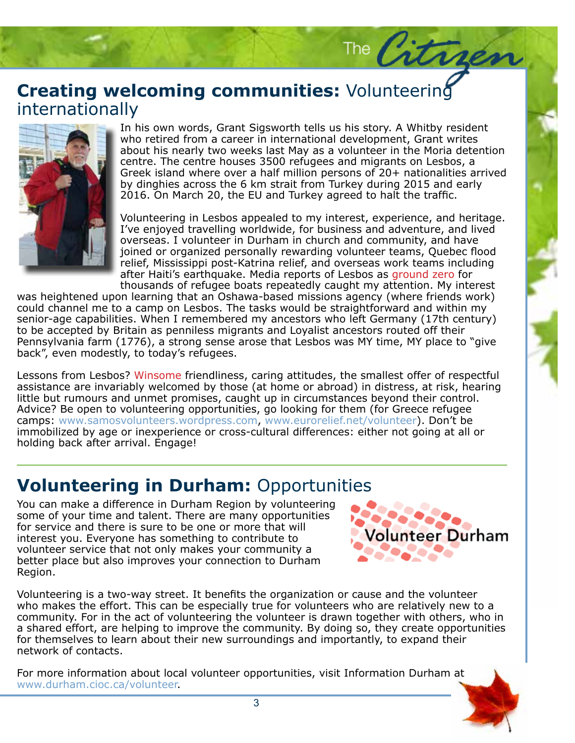# **Creating welcoming communities:** Volunteering<br>internationally internationally



In his own words, Grant Sigsworth tells us his story. A Whitby resider<br>who retired from a career in international development, Grant writes In his own words, Grant Sigsworth tells us his story. A Whitby resident about his nearly two weeks last May as a volunteer in the Moria detention centre. The centre houses 3500 refugees and migrants on Lesbos, a Greek island where over a half million persons of 20+ nationalities arrived by dinghies across the 6 km strait from Turkey during 2015 and early 2016. On March 20, the EU and Turkey agreed to halt the traffic.

The Citrae

Volunteering in Lesbos appealed to my interest, experience, and heritage. I've enjoyed travelling worldwide, for business and adventure, and lived overseas. I volunteer in Durham in church and community, and have joined or organized personally rewarding volunteer teams, Quebec flood relief, Mississippi post-Katrina relief, and overseas work teams including after Haiti's earthquake. Media reports of Lesbos as ground zero for thousands of refugee boats repeatedly caught my attention. My interest

os as ground zero for<br>my attention. My interest<br>ency (where friends work) could channel the to a camp on Lesbos. The tasks would be straightforward and within my<br>senior-age capabilities. When I remembered my ancestors who left Germany (17th century)<br>to be accepted by Britain as penniless migrant was heightened upon learning that an Oshawa-based missions agency (where friends work) could channel me to a camp on Lesbos. The tasks would be straightforward and within my to be accepted by Britain as penniless migrants and Loyalist ancestors routed off their Pennsylvania farm (1776), a strong sense arose that Lesbos was MY time, MY place to "give back", even modestly, to today's refugees.

Lessons from Lesbos? Winsome friendliness, caring attitudes, the smallest offer of respectful assistance are invariably welcomed by those (at home or abroad) in distress, at risk, hearing little but rumours and unmet promises, caught up in circumstances beyond their control. Advice? Be open to volunteering opportunities, go looking for them (for Greece refugee camps: www.samosvolunteers.wordpress.com, www.eurorelief.net/volunteer). Don't be immobilized by age or inexperience or cross-cultural differences: either not going at all or holding back after arrival. Engage!

# **Volunteering in Durham:** Opportunities

You can make a difference in Durham Region by volunteering some of your time and talent. There are many opportunities for service and there is sure to be one or more that will interest you. Everyone has something to contribute to volunteer service that not only makes your community a better place but also improves your connection to Durham Region.



Volunteering is a two-way street. It benefits the organization or cause and the volunteer who makes the effort. This can be especially true for volunteers who are relatively new to a community. For in the act of volunteering the volunteer is drawn together with others, who in a shared effort, are helping to improve the community. By doing so, they create opportunities for themselves to learn about their new surroundings and importantly, to expand their network of contacts.

For more information about local volunteer opportunities, visit Information Durham at www.durham.cioc.ca/volunteer.

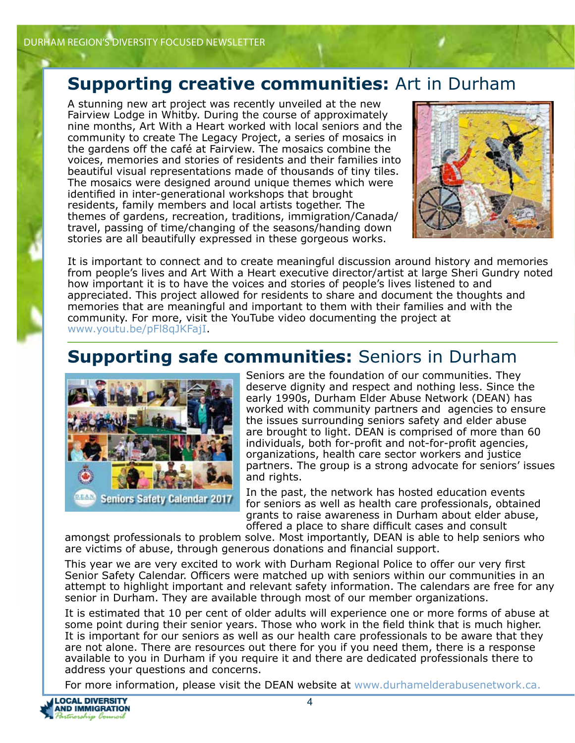#### **Supporting creative communities:** Art in Durham

A stunning new art project was recently unveiled at the new Fairview Lodge in Whitby. During the course of approximately nine months, Art With a Heart worked with local seniors and the community to create The Legacy Project, a series of mosaics in the gardens off the café at Fairview. The mosaics combine the voices, memories and stories of residents and their families into beautiful visual representations made of thousands of tiny tiles. The mosaics were designed around unique themes which were identified in inter-generational workshops that brought residents, family members and local artists together. The themes of gardens, recreation, traditions, immigration/Canada/ travel, passing of time/changing of the seasons/handing down stories are all beautifully expressed in these gorgeous works.



It is important to connect and to create meaningful discussion around history and memories from people's lives and Art With a Heart executive director/artist at large Sheri Gundry noted how important it is to have the voices and stories of people's lives listened to and appreciated. This project allowed for residents to share and document the thoughts and memories that are meaningful and important to them with their families and with the community. For more, visit the YouTube video documenting the project at www.youtu.be/pFl8qJKFajI.

# **Supporting safe communities:** Seniors in Durham



Seniors are the foundation of our communities. They deserve dignity and respect and nothing less. Since the early 1990s, Durham Elder Abuse Network (DEAN) has worked with community partners and agencies to ensure the issues surrounding seniors safety and elder abuse are brought to light. DEAN is comprised of more than 60 individuals, both for-profit and not-for-profit agencies, organizations, health care sector workers and justice partners. The group is a strong advocate for seniors' issues and rights.

In the past, the network has hosted education events for seniors as well as health care professionals, obtained grants to raise awareness in Durham about elder abuse, offered a place to share difficult cases and consult

amongst professionals to problem solve. Most importantly, DEAN is able to help seniors who are victims of abuse, through generous donations and financial support.

This year we are very excited to work with Durham Regional Police to offer our very first Senior Safety Calendar. Officers were matched up with seniors within our communities in an attempt to highlight important and relevant safety information. The calendars are free for any senior in Durham. They are available through most of our member organizations.

It is estimated that 10 per cent of older adults will experience one or more forms of abuse at some point during their senior years. Those who work in the field think that is much higher. It is important for our seniors as well as our health care professionals to be aware that they are not alone. There are resources out there for you if you need them, there is a response available to you in Durham if you require it and there are dedicated professionals there to address your questions and concerns.

For more information, please visit the DEAN website at www.durhamelderabusenetwork.ca.

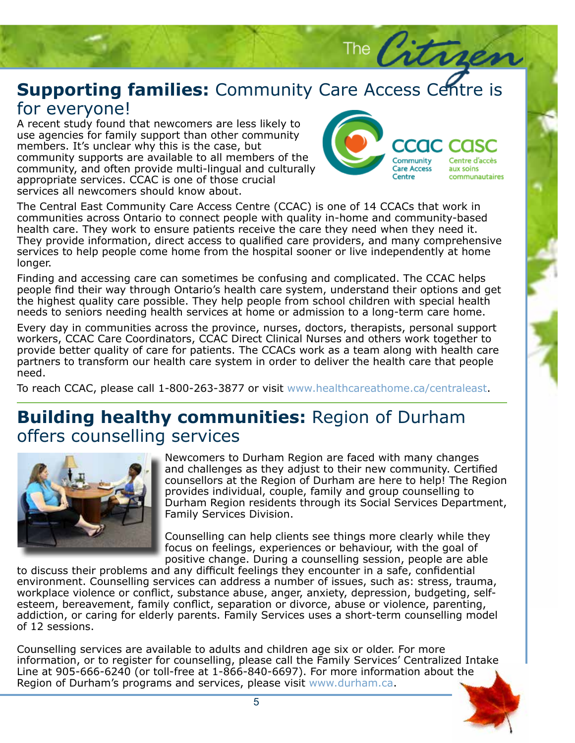#### **Supporting families:** Community Care Access Centre is for everyone! for everyone!

A recent study found that newcomers are less likely to<br>use agencies for family support than other community A recent study found that newcomers are less likely to members. It's unclear why this is the case, but community supports are available to all members of the community, and often provide multi-lingual and culturally appropriate services. CCAC is one of those crucial services all newcomers should know about.



The Citro

The Central East Community Care Access Centre (CCAC) is one of 14 CCACs that work in communities across Ontario to connect people with quality in-home and community-based health care. They work to ensure patients receive the care they need when they need it. They provide information, direct access to qualified care providers, and many comprehensive services to help people come home from the hospital sooner or live independently at home longer.

licated. The CCAC helps<br>stand their options and get<br>ildren with special health Finding and accessing care can sometimes be confusing and complicated. The CCAC helps people find their way through Ontario's health care system, understand their options and get the highest quality care possible. They help people from school children with special health needs to seniors needing health services at home or admission to a long-term care home.

needs to seniors needing health services at home or admission to a long-term care home.<br>Every day in communities across the province, nurses, doctors, therapists, personal support workers, CCAC Care Coordinators, CCAC Direct Clinical Nurses and others work together to provide better quality of care for patients. The CCACs work as a team along with health care partners to transform our health care system in order to deliver the health care that people need.

To reach CCAC, please call 1-800-263-3877 or visit www.healthcareathome.ca/centraleast.

### **Building healthy communities:** Region of Durham offers counselling services



Newcomers to Durham Region are faced with many changes and challenges as they adjust to their new community. Certified counsellors at the Region of Durham are here to help! The Region provides individual, couple, family and group counselling to Durham Region residents through its Social Services Department, Family Services Division.

Counselling can help clients see things more clearly while they focus on feelings, experiences or behaviour, with the goal of positive change. During a counselling session, people are able

to discuss their problems and any difficult feelings they encounter in a safe, confidential environment. Counselling services can address a number of issues, such as: stress, trauma, workplace violence or conflict, substance abuse, anger, anxiety, depression, budgeting, selfesteem, bereavement, family conflict, separation or divorce, abuse or violence, parenting, addiction, or caring for elderly parents. Family Services uses a short-term counselling model of 12 sessions.

Counselling services are available to adults and children age six or older. For more information, or to register for counselling, please call the Family Services' Centralized Intake Line at 905-666-6240 (or toll-free at 1-866-840-6697). For more information about the Region of Durham's programs and services, please visit www.durham.ca.

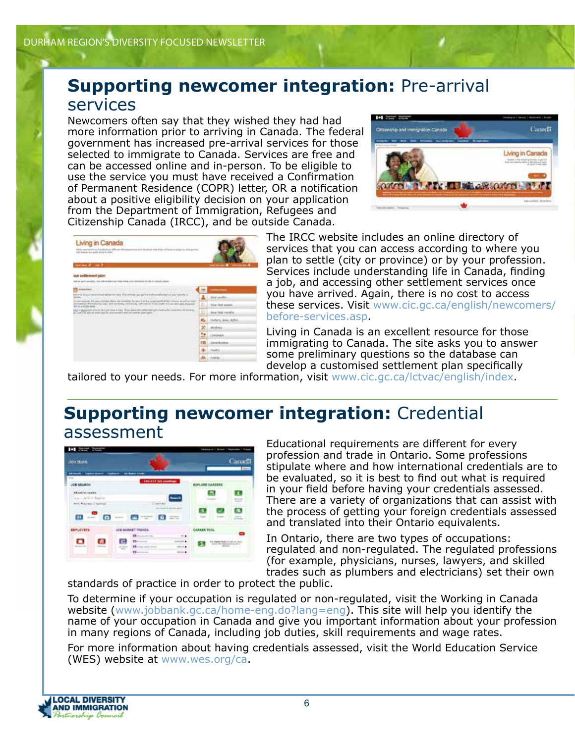#### **Supporting newcomer integration:** Pre-arrival services

Newcomers often say that they wished they had had more information prior to arriving in Canada. The federal government has increased pre-arrival services for those selected to immigrate to Canada. Services are free and can be accessed online and in-person. To be eligible to use the service you must have received a Confirmation of Permanent Residence (COPR) letter, OR a notification about a positive eligibility decision on your application from the Department of Immigration, Refugees and Citizenship Canada (IRCC), and be outside Canada.



| Living in Canada                                                                                                                                                                                                                                                         |     |                                                                   |
|--------------------------------------------------------------------------------------------------------------------------------------------------------------------------------------------------------------------------------------------------------------------------|-----|-------------------------------------------------------------------|
| \$500 resolutions at Constitutions offered the Association and any other that of the original in colour to the association<br>(We have a 4 paid was to the                                                                                                               |     |                                                                   |
| more than the country                                                                                                                                                                                                                                                    |     | <b>Constitution of the </b><br><b><i><u>START COMPANY</u></i></b> |
| out settlement plan                                                                                                                                                                                                                                                      |     |                                                                   |
| com en quel-bonning, list extra movement des dans also altra travellas de cal. e conseil en                                                                                                                                                                              |     |                                                                   |
| indeednes                                                                                                                                                                                                                                                                |     | <b>ENGINEERS</b>                                                  |
| and stations and plant. This will have you get the bank committee shall one grow more the for-<br><b>Palestonia For Lettre Vales</b>                                                                                                                                     |     | <b>Basi certifica</b>                                             |
| The special entered, after their in bestimal climate why checkens for space first final services positive interesting an outfrom online<br>cannot referred in the control of the control of the control of the control of the control of the anti-<br>Sen an a sign some | s   | <b>New York weeks</b>                                             |
| (b) in applicated stressly that partners is rise. It has been this program it pain translation for the money.<br>ally worth the able of comm back to unturn providers and indicated to most country.                                                                     | ۰   | less fact membe                                                   |
| THE RESIDENCE OF A PARTICULAR CONTROL COMPANY                                                                                                                                                                                                                            |     | 423.453<br>Carlott, land, Hills)                                  |
|                                                                                                                                                                                                                                                                          | ×   | <b>ARCHERENCE</b>                                                 |
|                                                                                                                                                                                                                                                                          |     | Limaxios                                                          |
|                                                                                                                                                                                                                                                                          | 133 | <b>LEARNER</b>                                                    |
|                                                                                                                                                                                                                                                                          |     |                                                                   |
|                                                                                                                                                                                                                                                                          |     | Inautrici                                                         |

The IRCC website includes an online directory of services that you can access according to where you plan to settle (city or province) or by your profession. Services include understanding life in Canada, finding a job, and accessing other settlement services once you have arrived. Again, there is no cost to access these services. Visit www.cic.gc.ca/english/newcomers/ before-services.asp.

Living in Canada is an excellent resource for those immigrating to Canada. The site asks you to answer some preliminary questions so the database can develop a customised settlement plan specifically

tailored to your needs. For more information, visit www.cic.gc.ca/lctvac/english/index.

#### **Supporting newcomer integration:** Credential assessment



Educational requirements are different for every profession and trade in Ontario. Some professions stipulate where and how international credentials are to be evaluated, so it is best to find out what is required in your field before having your credentials assessed. There are a variety of organizations that can assist with the process of getting your foreign credentials assessed and translated into their Ontario equivalents.

In Ontario, there are two types of occupations: regulated and non-regulated. The regulated professions (for example, physicians, nurses, lawyers, and skilled trades such as plumbers and electricians) set their own

standards of practice in order to protect the public.

To determine if your occupation is regulated or non-regulated, visit the Working in Canada website (www.jobbank.gc.ca/home-eng.do?lang=eng). This site will help you identify the name of your occupation in Canada and give you important information about your profession in many regions of Canada, including job duties, skill requirements and wage rates.

For more information about having credentials assessed, visit the World Education Service (WES) website at www.wes.org/ca.

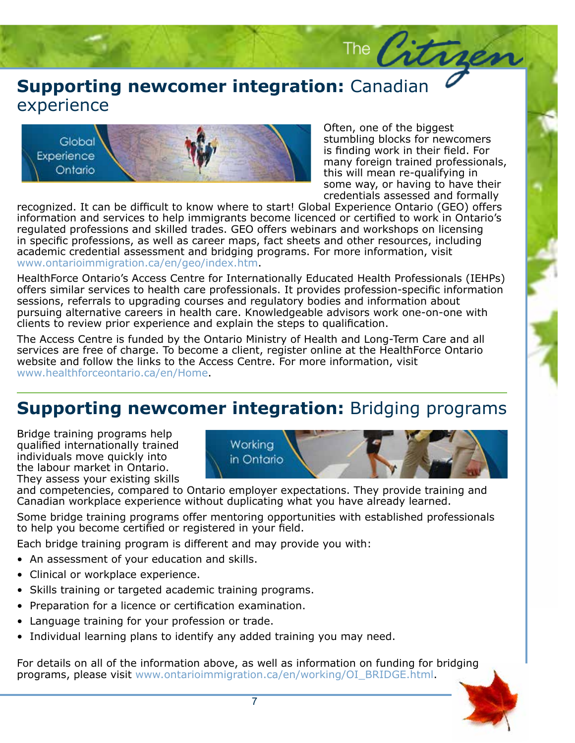# **Supporting newcomer integration:** Canadian<br>experience experience



Often, one of the biggest stumbling blocks for newcomers is finding work in their field. For many foreign trained professionals, this will mean re-qualifying in some way, or having to have their credentials assessed and formally

The Citries

recognized. It can be difficult to know where to start! Global Experience Ontario (GEO) offers information and services to help immigrants become licenced or certified to work in Ontario's regulated professions and skilled trades. GEO offers webinars and workshops on licensing in specific professions, as well as career maps, fact sheets and other resources, including academic credential assessment and bridging programs. For more information, visit www.ontarioimmigration.ca/en/geo/index.htm.

HealthForce Ontario's Access Centre for Internationally Educated Health Professionals (IEHPs) offers similar services to health care professionals. It provides profession-specific information sessions, referrals to upgrading courses and regulatory bodies and information about pursuing alternative careers in health care. Knowledgeable advisors work one-on-one with clients to review prior experience and explain the steps to qualification.

The Access Centre is funded by the Ontario Ministry of Health and Long-Term Care and all services are free of charge. To become a client, register online at the HealthForce Ontario website and follow the links to the Access Centre. For more information, visit www.healthforceontario.ca/en/Home.

# **Supporting newcomer integration:** Bridging programs

Bridge training programs help qualified internationally trained individuals move quickly into the labour market in Ontario. They assess your existing skills



and competencies, compared to Ontario employer expectations. They provide training and Canadian workplace experience without duplicating what you have already learned.

Some bridge training programs offer mentoring opportunities with established professionals to help you become certified or registered in your field.

Each bridge training program is different and may provide you with:

- An assessment of your education and skills.
- Clinical or workplace experience.
- Skills training or targeted academic training programs.
- Preparation for a licence or certification examination.
- Language training for your profession or trade.
- Individual learning plans to identify any added training you may need.

For details on all of the information above, as well as information on funding for bridging programs, please visit www.ontarioimmigration.ca/en/working/OI\_BRIDGE.html.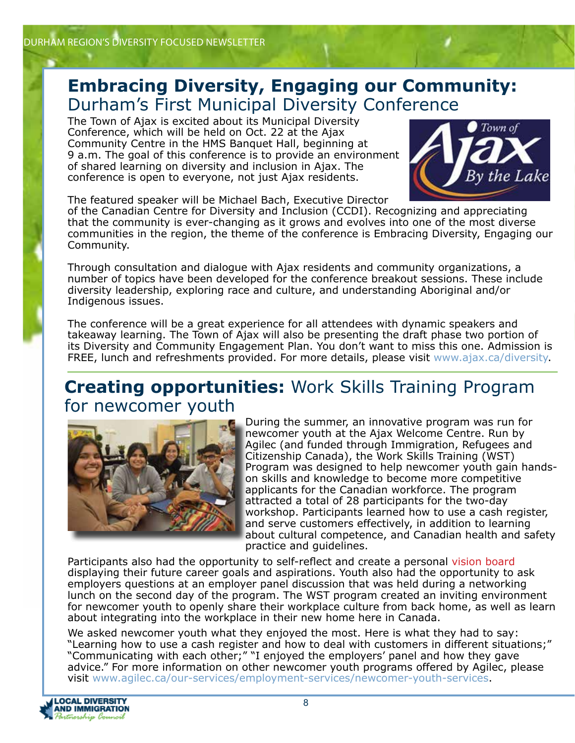### **Embracing Diversity, Engaging our Community:** Durham's First Municipal Diversity Conference

The Town of Ajax is excited about its Municipal Diversity Conference, which will be held on Oct. 22 at the Ajax Community Centre in the HMS Banquet Hall, beginning at 9 a.m. The goal of this conference is to provide an environment of shared learning on diversity and inclusion in Ajax. The conference is open to everyone, not just Ajax residents.



The featured speaker will be Michael Bach, Executive Director

of the Canadian Centre for Diversity and Inclusion (CCDI). Recognizing and appreciating that the community is ever-changing as it grows and evolves into one of the most diverse communities in the region, the theme of the conference is Embracing Diversity, Engaging our Community.

Through consultation and dialogue with Ajax residents and community organizations, a number of topics have been developed for the conference breakout sessions. These include diversity leadership, exploring race and culture, and understanding Aboriginal and/or Indigenous issues.

The conference will be a great experience for all attendees with dynamic speakers and takeaway learning. The Town of Ajax will also be presenting the draft phase two portion of its Diversity and Community Engagement Plan. You don't want to miss this one. Admission is FREE, lunch and refreshments provided. For more details, please visit www.ajax.ca/diversity.

#### **Creating opportunities:** Work Skills Training Program for newcomer youth



During the summer, an innovative program was run for newcomer youth at the Ajax Welcome Centre. Run by Agilec (and funded through Immigration, Refugees and Citizenship Canada), the Work Skills Training (WST) Program was designed to help newcomer youth gain handson skills and knowledge to become more competitive applicants for the Canadian workforce. The program attracted a total of 28 participants for the two-day workshop. Participants learned how to use a cash register, and serve customers effectively, in addition to learning about cultural competence, and Canadian health and safety practice and guidelines.

Participants also had the opportunity to self-reflect and create a personal vision board displaying their future career goals and aspirations. Youth also had the opportunity to ask employers questions at an employer panel discussion that was held during a networking lunch on the second day of the program. The WST program created an inviting environment for newcomer youth to openly share their workplace culture from back home, as well as learn about integrating into the workplace in their new home here in Canada.

We asked newcomer youth what they enjoyed the most. Here is what they had to say: "Learning how to use a cash register and how to deal with customers in different situations;" "Communicating with each other;" "I enjoyed the employers' panel and how they gave advice." For more information on other newcomer youth programs offered by Agilec, please visit www.agilec.ca/our-services/employment-services/newcomer-youth-services.

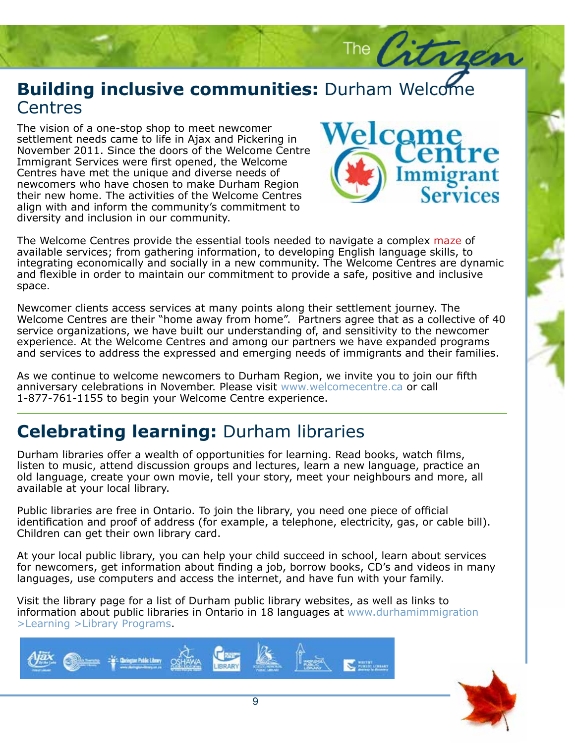# **Building inclusive communities:** Durham Welcome<br>Centres **Centres**

The vision of a one-stop shop to meet newcomer<br>settlement needs came to life in Ajax and Pickering in November 2011. Since the doors of the Welcome Centre Immigrant Services were first opened, the Welcome volutpat odio. Maecenas neque lacus, condimentum id, tristique sed, viverra et, newcomers who have chosen to make Durham Region their new home. The activities of the Welcome Centres align with and inform the community's commitment to diversity and inclusion in our community. The vision of a one-stop shop to meet newcomer Centres have met the unique and diverse needs of



The  $\beta$ 

and flexible in order to maintain our commitment to provide a safe, positive and inclusive<br>space. enim, tincidunt at, aliquet in, ultrices ut, leo. Sed condimentum vulputate libero. The Welcome Centres provide the essential tools needed to navigate a complex maze of available services, from gathering information, to developing English language skills, to<br>integrating economically and socially in a new community. The Welcome Centres are dynamic space. Ut hendre rit felixe eu tur available services; from gathering information, to developing English language skills, to

Newcomer chents access services at many points along their settlement journey. The<br>Welcome Centres are their "home away from home". Partners agree that as a collective of 40<br>service organizations, we have built our underst Newcomer clients access services at many points along their settlement journey. The service organizations, we have built our understanding of, and sensitivity to the newcomer experience. At the Welcome Centres and among our partners we have expanded programs and services to address the expressed and emerging needs of immigrants and their families.

As we continue to welcome newcomers to Durham Region, we invite you to join our fifth anniversary celebrations in November. Please visit www.welcomecentre.ca or call 1-877-761-1155 to begin your Welcome Centre experience.

# **Celebrating learning:** Durham libraries

Durham libraries offer a wealth of opportunities for learning. Read books, watch films, listen to music, attend discussion groups and lectures, learn a new language, practice an old language, create your own movie, tell your story, meet your neighbours and more, all available at your local library.

Public libraries are free in Ontario. To join the library, you need one piece of official identification and proof of address (for example, a telephone, electricity, gas, or cable bill). Children can get their own library card.

At your local public library, you can help your child succeed in school, learn about services for newcomers, get information about finding a job, borrow books, CD's and videos in many languages, use computers and access the internet, and have fun with your family.

Visit the library page for a list of Durham public library websites, as well as links to information about public libraries in Ontario in 18 languages at www.durhamimmigration >Learning >Library Programs.



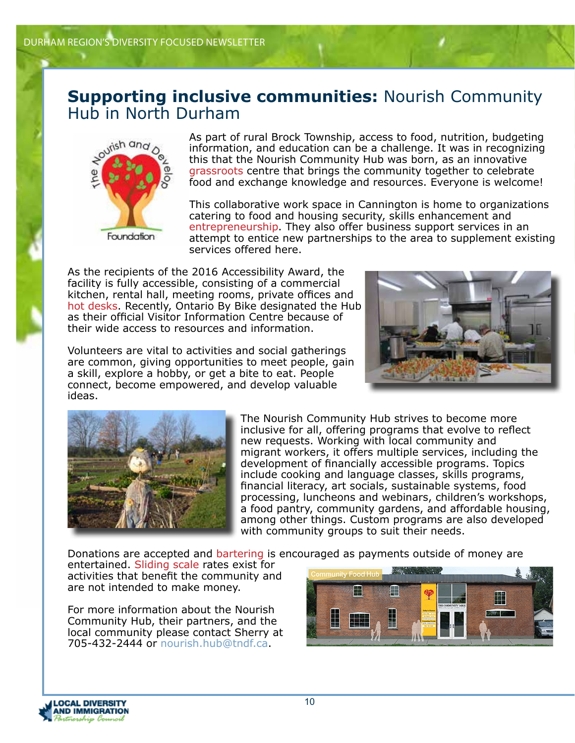#### **Supporting inclusive communities:** Nourish Community Hub in North Durham



As part of rural Brock Township, access to food, nutrition, budgeting information, and education can be a challenge. It was in recognizing this that the Nourish Community Hub was born, as an innovative grassroots centre that brings the community together to celebrate food and exchange knowledge and resources. Everyone is welcome!

This collaborative work space in Cannington is home to organizations catering to food and housing security, skills enhancement and entrepreneurship. They also offer business support services in an attempt to entice new partnerships to the area to supplement existing services offered here.

As the recipients of the 2016 Accessibility Award, the facility is fully accessible, consisting of a commercial kitchen, rental hall, meeting rooms, private offices and hot desks. Recently, Ontario By Bike designated the Hub as their official Visitor Information Centre because of their wide access to resources and information.

Volunteers are vital to activities and social gatherings are common, giving opportunities to meet people, gain a skill, explore a hobby, or get a bite to eat. People connect, become empowered, and develop valuable ideas.





The Nourish Community Hub strives to become more inclusive for all, offering programs that evolve to reflect new requests. Working with local community and migrant workers, it offers multiple services, including the development of financially accessible programs. Topics include cooking and language classes, skills programs, financial literacy, art socials, sustainable systems, food processing, luncheons and webinars, children's workshops, a food pantry, community gardens, and affordable housing, among other things. Custom programs are also developed with community groups to suit their needs.

Donations are accepted and bartering is encouraged as payments outside of money are

entertained. Sliding scale rates exist for activities that benefit the community and are not intended to make money.

For more information about the Nourish Community Hub, their partners, and the local community please contact Sherry at 705-432-2444 or nourish.hub@tndf.ca.



**OCAL DIVERSITY ND IMMIGRATION**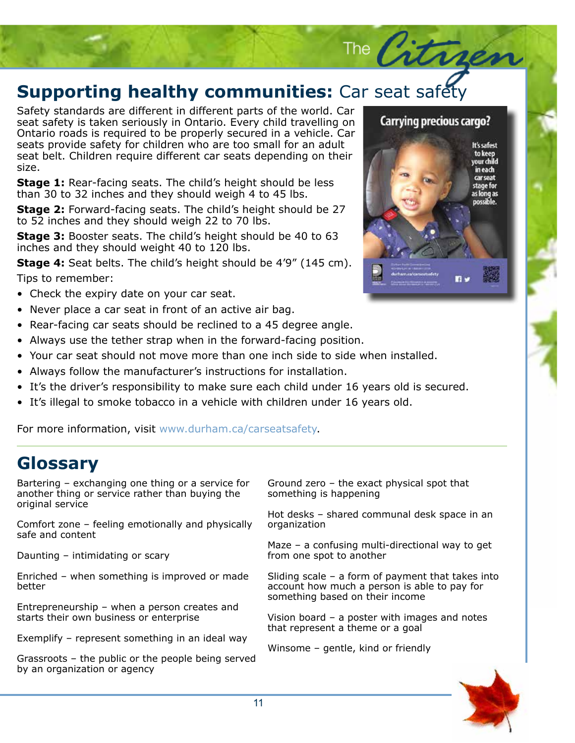# **Supporting healthy communities:** Car seat safety

Safety standards are different in different parts of the world. Car seat safety is taken seriously in Ontario. Every child travelling on Ontario roads is required to be properly secured in a vehicle. Car seats provide safety for children who are too small for an adult seat belt. Children require different car seats depending on their size.

**Stage 1:** Rear-facing seats. The child's height should be less than 30 to 32 inches and they should weigh 4 to 45 lbs.

**Stage 2:** Forward-facing seats. The child's height should be 27 to 52 inches and they should weigh 22 to 70 lbs.

**Stage 3:** Booster seats. The child's height should be 40 to 63 inches and they should weight 40 to 120 lbs.

**Stage 4:** Seat belts. The child's height should be 4'9" (145 cm). Tips to remember:

- Check the expiry date on your car seat.
- Never place a car seat in front of an active air bag.
- Rear-facing car seats should be reclined to a 45 degree angle.
- Always use the tether strap when in the forward-facing position.
- Your car seat should not move more than one inch side to side when installed.
- Always follow the manufacturer's instructions for installation.
- It's the driver's responsibility to make sure each child under 16 years old is secured.
- It's illegal to smoke tobacco in a vehicle with children under 16 years old.

For more information, visit www.durham.ca/carseatsafety.

# **Glossary**

Bartering – exchanging one thing or a service for another thing or service rather than buying the original service

Comfort zone – feeling emotionally and physically safe and content

Daunting – intimidating or scary

Enriched – when something is improved or made better

Entrepreneurship – when a person creates and starts their own business or enterprise

Exemplify – represent something in an ideal way

Grassroots – the public or the people being served by an organization or agency

Ground zero – the exact physical spot that something is happening

Hot desks – shared communal desk space in an organization

Maze – a confusing multi-directional way to get from one spot to another

Sliding scale – a form of payment that takes into account how much a person is able to pay for something based on their income

Vision board – a poster with images and notes that represent a theme or a goal

Winsome – gentle, kind or friendly





Carrying precious cargo?

The Citrgen